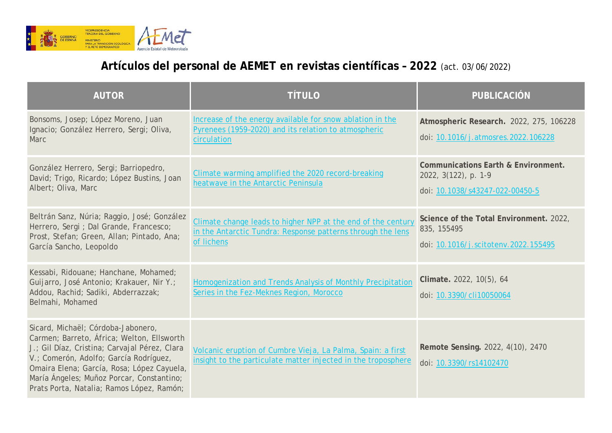

## **Artículos del personal de AEMET en revistas científicas – 2022** (act. 03/06/2022)

| <b>AUTOR</b>                                                                                                                                                                                                                                                                                                        | <b>TÍTULO</b>                                                                                                                             | <b>PUBLICACIÓN</b>                                                                             |
|---------------------------------------------------------------------------------------------------------------------------------------------------------------------------------------------------------------------------------------------------------------------------------------------------------------------|-------------------------------------------------------------------------------------------------------------------------------------------|------------------------------------------------------------------------------------------------|
| Bonsoms, Josep; López Moreno, Juan<br>Ignacio; González Herrero, Sergi; Oliva,<br>Marc                                                                                                                                                                                                                              | Increase of the energy available for snow ablation in the<br>Pyrenees (1959-2020) and its relation to atmospheric<br>circulation          | Atmospheric Research. 2022, 275, 106228<br>doi: 10.1016/j.atmosres.2022.106228                 |
| González Herrero, Sergi; Barriopedro,<br>David; Trigo, Ricardo; López Bustins, Joan<br>Albert; Oliva, Marc                                                                                                                                                                                                          | Climate warming amplified the 2020 record-breaking<br>heatwave in the Antarctic Peninsula                                                 | Communications Earth & Environment.<br>2022, 3(122), p. 1-9<br>doi: 10.1038/s43247-022-00450-5 |
| Beltrán Sanz, Núria; Raggio, José; González<br>Herrero, Sergi ; Dal Grande, Francesco;<br>Prost, Stefan; Green, Allan; Pintado, Ana;<br>García Sancho, Leopoldo                                                                                                                                                     | Climate change leads to higher NPP at the end of the century<br>in the Antarctic Tundra: Response patterns through the lens<br>of lichens | Science of the Total Environment. 2022,<br>835, 155495<br>doi: 10.1016/j.scitotenv.2022.155495 |
| Kessabi, Ridouane; Hanchane, Mohamed;<br>Guijarro, José Antonio; Krakauer, Nir Y.;<br>Addou, Rachid; Sadiki, Abderrazzak;<br>Belmahi, Mohamed                                                                                                                                                                       | Homogenization and Trends Analysis of Monthly Precipitation<br>Series in the Fez-Meknes Region, Morocco                                   | Climate. 2022, 10(5), 64<br>doi: 10.3390/cli10050064                                           |
| Sicard, Michaël; Córdoba-Jabonero,<br>Carmen; Barreto, África; Welton, Ellsworth<br>J.; Gil Díaz, Cristina; Carvajal Pérez, Clara<br>V.; Comerón, Adolfo; García Rodríguez,<br>Omaira Elena; García, Rosa; López Cayuela,<br>María Ángeles; Muñoz Porcar, Constantino;<br>Prats Porta, Natalia; Ramos López, Ramón; | Volcanic eruption of Cumbre Vieja, La Palma, Spain: a first<br>insight to the particulate matter injected in the troposphere              | Remote Sensing. 2022, 4(10), 2470<br>doi: 10.3390/rs14102470                                   |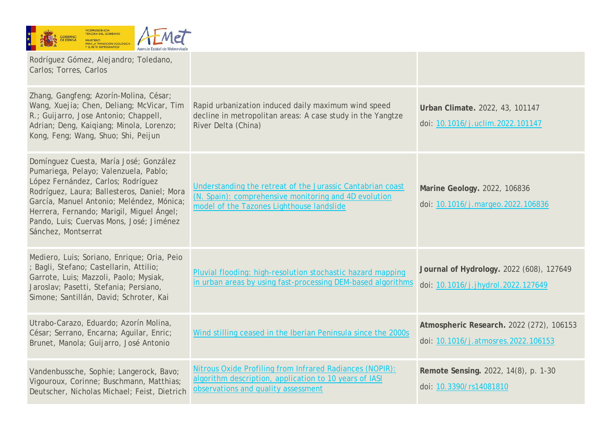

| Rodríguez Gómez, Alejandro; Toledano,<br>Carlos; Torres, Carlos                                                                                                                                                                                                                                                                   |                                                                                                                                                                  |                                                                                 |
|-----------------------------------------------------------------------------------------------------------------------------------------------------------------------------------------------------------------------------------------------------------------------------------------------------------------------------------|------------------------------------------------------------------------------------------------------------------------------------------------------------------|---------------------------------------------------------------------------------|
| Zhang, Gangfeng; Azorín-Molina, César;<br>Wang, Xuejia; Chen, Deliang; McVicar, Tim<br>R.; Guijarro, Jose Antonio; Chappell,<br>Adrian; Deng, Kaiqiang; Minola, Lorenzo;<br>Kong, Feng; Wang, Shuo; Shi, Peijun                                                                                                                   | Rapid urbanization induced daily maximum wind speed<br>decline in metropolitan areas: A case study in the Yangtze<br>River Delta (China)                         | Urban Climate. 2022, 43, 101147<br>doi: 10.1016/j.uclim.2022.101147             |
| Domínguez Cuesta, María José; González<br>Pumariega, Pelayo; Valenzuela, Pablo;<br>López Fernández, Carlos; Rodríguez<br>Rodríguez, Laura; Ballesteros, Daniel; Mora<br>García, Manuel Antonio; Meléndez, Mónica;<br>Herrera, Fernando; Marigil, Miguel Ángel;<br>Pando, Luis; Cuervas Mons, José; Jiménez<br>Sánchez, Montserrat | Understanding the retreat of the Jurassic Cantabrian coast<br>(N. Spain): comprehensive monitoring and 4D evolution<br>model of the Tazones Lighthouse landslide | Marine Geology. 2022, 106836<br>doi: 10.1016/j.margeo.2022.106836               |
| Mediero, Luis; Soriano, Enrique; Oria, Peio<br>Bagli, Stefano; Castellarin, Attilio;<br>Garrote, Luis; Mazzoli, Paolo; Mysiak,<br>Jaroslav; Pasetti, Stefania; Persiano,<br>Simone; Santillán, David; Schroter, Kai                                                                                                               | Pluvial flooding: high-resolution stochastic hazard mapping<br>in urban areas by using fast-processing DEM-based algorithms                                      | Journal of Hydrology. 2022 (608), 127649<br>doi: 10.1016/j.jhydrol.2022.127649  |
| Utrabo-Carazo, Eduardo; Azorín Molina,<br>César; Serrano, Encarna; Aguilar, Enric;<br>Brunet, Manola; Guijarro, José Antonio                                                                                                                                                                                                      | Wind stilling ceased in the Iberian Peninsula since the 2000s                                                                                                    | Atmospheric Research. 2022 (272), 106153<br>doi: 10.1016/j.atmosres.2022.106153 |
| Vandenbussche, Sophie; Langerock, Bavo;<br>Vigouroux, Corinne; Buschmann, Matthias;<br>Deutscher, Nicholas Michael; Feist, Dietrich                                                                                                                                                                                               | Nitrous Oxide Profiling from Infrared Radiances (NOPIR):<br>algorithm description, application to 10 years of IASI<br>observations and quality assessment        | Remote Sensing. 2022, 14(8), p. 1-30<br>doi: 10.3390/rs14081810                 |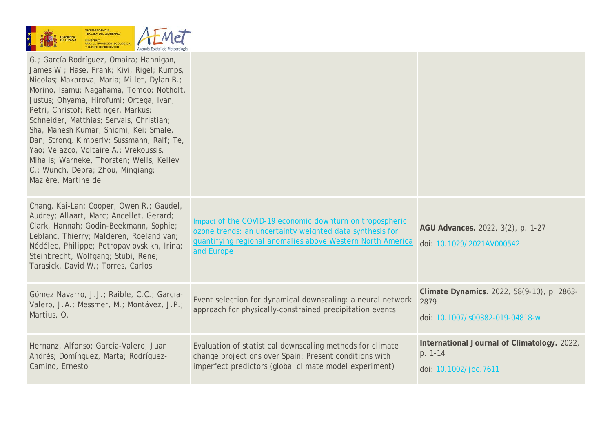

| G.; García Rodríguez, Omaira; Hannigan,<br>James W.; Hase, Frank; Kivi, Rigel; Kumps,<br>Nicolas; Makarova, Maria; Millet, Dylan B.;<br>Morino, Isamu; Nagahama, Tomoo; Notholt,<br>Justus; Ohyama, Hirofumi; Ortega, Ivan;<br>Petri, Christof; Rettinger, Markus;<br>Schneider, Matthias; Servais, Christian;<br>Sha, Mahesh Kumar; Shiomi, Kei; Smale,<br>Dan; Strong, Kimberly; Sussmann, Ralf; Te,<br>Yao; Velazco, Voltaire A.; Vrekoussis,<br>Mihalis; Warneke, Thorsten; Wells, Kelley<br>C.; Wunch, Debra; Zhou, Mingiang;<br>Mazière, Martine de |                                                                                                                                                                                                  |                                                                                       |
|-----------------------------------------------------------------------------------------------------------------------------------------------------------------------------------------------------------------------------------------------------------------------------------------------------------------------------------------------------------------------------------------------------------------------------------------------------------------------------------------------------------------------------------------------------------|--------------------------------------------------------------------------------------------------------------------------------------------------------------------------------------------------|---------------------------------------------------------------------------------------|
| Chang, Kai-Lan; Cooper, Owen R.; Gaudel,<br>Audrey; Allaart, Marc; Ancellet, Gerard;<br>Clark, Hannah; Godin-Beekmann, Sophie;<br>Leblanc, Thierry; Malderen, Roeland van;<br>Nédélec, Philippe; Petropavlovskikh, Irina;<br>Steinbrecht, Wolfgang; Stübi, Rene;<br>Tarasick, David W.; Torres, Carlos                                                                                                                                                                                                                                                    | Impact of the COVID-19 economic downturn on tropospheric<br>ozone trends: an uncertainty weighted data synthesis for<br>quantifying regional anomalies above Western North America<br>and Europe | AGU Advances. 2022, 3(2), p. 1-27<br>doi: 10.1029/2021AV000542                        |
| Gómez-Navarro, J.J.; Raible, C.C.; García-<br>Valero, J.A.; Messmer, M.; Montávez, J.P.;<br>Martius, O.                                                                                                                                                                                                                                                                                                                                                                                                                                                   | Event selection for dynamical downscaling: a neural network<br>approach for physically-constrained precipitation events                                                                          | Climate Dynamics. 2022, 58(9-10), p. 2863-<br>2879<br>doi: 10.1007/s00382-019-04818-w |
| Hernanz, Alfonso; García-Valero, Juan<br>Andrés; Domínguez, Marta; Rodríguez-<br>Camino, Ernesto                                                                                                                                                                                                                                                                                                                                                                                                                                                          | Evaluation of statistical downscaling methods for climate<br>change projections over Spain: Present conditions with<br>imperfect predictors (global climate model experiment)                    | International Journal of Climatology. 2022,<br>p. 1-14<br>doi: 10.1002/joc.7611       |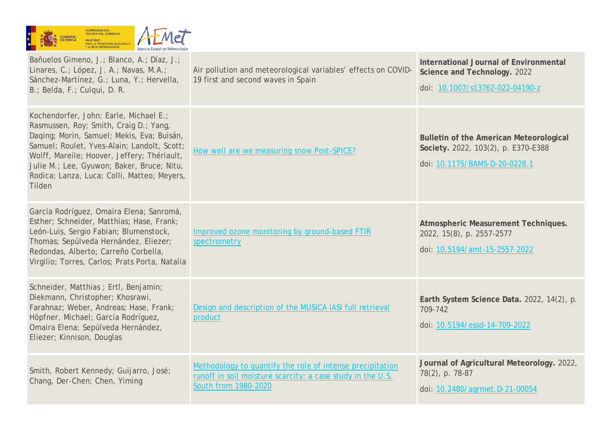|  |  | <b>GOBIERNO</b><br><b>DE ESPANA</b> | <b>VICEPRESIDENCIA</b><br><b>TERCERA DEL GOBIERNO</b><br><b>MINISTERIO</b><br>PARA LA TRANSICIÓN ECOLÓGICA<br>Y EL RETO DEMOGRÁFICO | Agencia Estatal de Meteorología |
|--|--|-------------------------------------|-------------------------------------------------------------------------------------------------------------------------------------|---------------------------------|
|--|--|-------------------------------------|-------------------------------------------------------------------------------------------------------------------------------------|---------------------------------|

Bañuelos Gimeno, J.; Blanco, A.; Díaz, J.; Linares, C.; López, J. A.; Navas, M.A.; Sánchez-Martínez, G.; Luna, Y.; Hervella, B.; Belda, F.; Culqui, D. R. Air pollution and meteorological variables' effects on COVID-19 first and second waves in Spain **International Journal of Environmental Science and Technology.** 2022 doi: [10.1007/s13762-022-04190-z](https://doi.org/10.1007/s13762-022-04190-z) Kochendorfer, John; Earle, Michael E.; Rasmussen, Roy; Smith, Craig D.; Yang, Daqing; Morin, Samuel; Mekis, Eva; Buisán, Samuel; Roulet, Yves-Alain; Landolt, Scott; Wolff, Mareile; Hoover, Jeffery; Thériault, Julie M.; Lee, Gyuwon; Baker, Bruce; Nitu, Rodica; Lanza, Luca; Colli, Matteo; Meyers, Tilden [How well are we measuring snow Post-SPICE?](http://hdl.handle.net/20.500.11765/13656) **Bulletin of the American Meteorological Society.** 2022, 103(2), p. E370–E388 doi: [10.1175/BAMS-D-20-0228.1](https://doi.org/10.1175/BAMS-D-20-0228.1) García Rodríguez, Omaira Elena; Sanromá, Esther; Schneider, Matthias; Hase, Frank; León-Luis, Sergio Fabian; Blumenstock, Thomas; Sepúlveda Hernández, Eliezer; Redondas, Alberto; Carreño Corbella, Virgilio; Torres, Carlos; Prats Porta, Natalia [Improved ozone monitoring by ground-based FTIR](http://hdl.handle.net/20.500.11765/13655)  [spectrometry](http://hdl.handle.net/20.500.11765/13655) **Atmospheric Measurement Techniques.**  2022, 15(8), p. 2557–2577 doi: [10.5194/amt-15-2557-2022](https://doi.org/10.5194/amt-15-2557-2022) Schneider, Matthias ; Ertl, Benjamin; Diekmann, Christopher; Khosrawi, Farahnaz; Weber, Andreas; Hase, Frank; Höpfner, Michael; García Rodríguez, Omaira Elena; Sepúlveda Hernández, Eliezer; Kinnison, Douglas [Design and description of the MUSICA IASI full retrieval](http://hdl.handle.net/20.500.11765/13648)  [product](http://hdl.handle.net/20.500.11765/13648) **Earth System Science Data.** 2022, 14(2), p. 709-742 doi: [10.5194/essd-14-709-2022](https://doi.org/10.5194/essd-14-709-2022) Smith, Robert Kennedy; Guijarro, José; Chang, Der-Chen; Chen, Yiming [Methodology to quantify the role of intense precipitation](http://hdl.handle.net/20.500.11765/13635)  [runoff in soil moisture scarcity: a case study in the U.S.](http://hdl.handle.net/20.500.11765/13635)  [South from 1980-2020](http://hdl.handle.net/20.500.11765/13635) **Journal of Agricultural Meteorology.** 2022, 78(2), p. 78‑87 doi: [10.2480/agrmet.D-21-00054](https://doi.org/10.2480/agrmet.D-21-00054)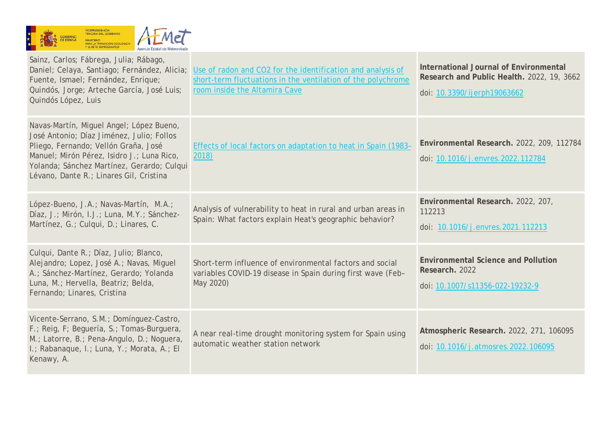

| Sainz, Carlos; Fábrega, Julia; Rábago,<br>Daniel; Celaya, Santiago; Fernández, Alicia;<br>Fuente, Ismael; Fernández, Enrique;<br>Quindós, Jorge; Arteche García, José Luis;<br>Quindós López, Luis                                                                   | Use of radon and CO2 for the identification and analysis of<br>short-term fluctuations in the ventilation of the polychrome<br>room inside the Altamira Cave | International Journal of Environmental<br>Research and Public Health. 2022, 19, 3662<br>doi: 10.3390/ijerph19063662 |
|----------------------------------------------------------------------------------------------------------------------------------------------------------------------------------------------------------------------------------------------------------------------|--------------------------------------------------------------------------------------------------------------------------------------------------------------|---------------------------------------------------------------------------------------------------------------------|
| Navas-Martín, Miguel Ángel; López Bueno,<br>José Antonio; Díaz Jiménez, Julio; Follos<br>Pliego, Fernando; Vellón Graña, José<br>Manuel; Mirón Pérez, Isidro J.; Luna Rico,<br>Yolanda; Sánchez Martínez, Gerardo; Culqui<br>Lévano, Dante R.; Linares Gil, Cristina | Effects of local factors on adaptation to heat in Spain (1983-<br>2018)                                                                                      | Environmental Research. 2022, 209, 112784<br>doi: 10.1016/j.envres.2022.112784                                      |
| López-Bueno, J.A.; Navas-Martín, M.A.;<br>Díaz, J.; Mirón, I.J.; Luna, M.Y.; Sánchez-<br>Martínez, G.; Culqui, D.; Linares, C.                                                                                                                                       | Analysis of vulnerability to heat in rural and urban areas in<br>Spain: What factors explain Heat's geographic behavior?                                     | Environmental Research. 2022, 207,<br>112213<br>doi: 10.1016/j.envres.2021.112213                                   |
| Culqui, Dante R.; Díaz, Julio; Blanco,<br>Alejandro; Lopez, José A.; Navas, Miguel<br>A.; Sánchez-Martínez, Gerardo; Yolanda<br>Luna, M.; Hervella, Beatriz; Belda,<br>Fernando; Linares, Cristina                                                                   | Short-term influence of environmental factors and social<br>variables COVID-19 disease in Spain during first wave (Feb-<br>May 2020)                         | <b>Environmental Science and Pollution</b><br>Research. 2022<br>doi: 10.1007/s11356-022-19232-9                     |
| Vicente-Serrano, S.M.; Domínguez-Castro,<br>F.; Reig, F; Beguería, S.; Tomas-Burguera,<br>M.; Latorre, B.; Pena-Angulo, D.; Noguera,<br>I.; Rabanaque, I.; Luna, Y.; Morata, A.; El<br>Kenawy, A.                                                                    | A near real-time drought monitoring system for Spain using<br>automatic weather station network                                                              | Atmospheric Research. 2022, 271, 106095<br>doi: 10.1016/j.atmosres.2022.106095                                      |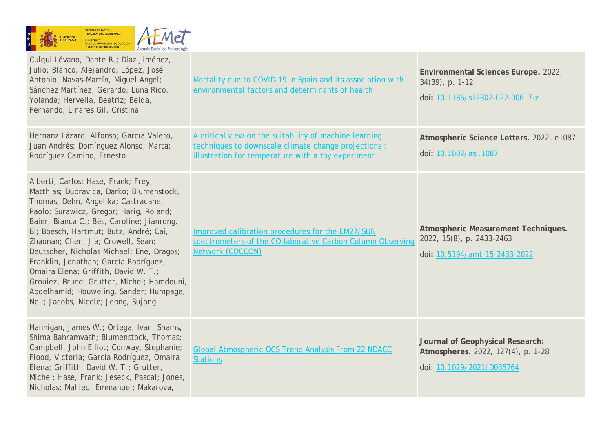

| Culqui Lévano, Dante R.; Díaz Jiménez,<br>Julio; Blanco, Alejandro; López, José<br>Antonio; Navas-Martín, Miguel Ángel;<br>Sánchez Martínez, Gerardo; Luna Rico,<br>Yolanda; Hervella, Beatriz; Belda,<br>Fernando; Linares Gil, Cristina                                                                                                                                                                                                                                                                                                                     | Mortality due to COVID-19 in Spain and its association with<br>environmental factors and determinants of health                                                      | Environmental Sciences Europe. 2022,<br>34(39), p. 1-12<br>doi: 10.1186/s12302-022-00617-z          |
|---------------------------------------------------------------------------------------------------------------------------------------------------------------------------------------------------------------------------------------------------------------------------------------------------------------------------------------------------------------------------------------------------------------------------------------------------------------------------------------------------------------------------------------------------------------|----------------------------------------------------------------------------------------------------------------------------------------------------------------------|-----------------------------------------------------------------------------------------------------|
| Hernanz Lázaro, Alfonso; García Valero,<br>Juan Andrés; Domínguez Alonso, Marta;<br>Rodríguez Camino, Ernesto                                                                                                                                                                                                                                                                                                                                                                                                                                                 | A critical view on the suitability of machine learning<br>techniques to downscale climate change projections :<br>illustration for temperature with a toy experiment | Atmospheric Science Letters. 2022, e1087<br>doi: 10.1002/asl.1087                                   |
| Alberti, Carlos; Hase, Frank; Frey,<br>Matthias; Dubravica, Darko; Blumenstock,<br>Thomas; Dehn, Angelika; Castracane,<br>Paolo; Surawicz, Gregor; Harig, Roland;<br>Baier, Bianca C.; Bès, Caroline; Jianrong,<br>Bi; Boesch, Hartmut; Butz, André; Cai,<br>Zhaonan; Chen, Jia; Crowell, Sean;<br>Deutscher, Nicholas Michael; Ene, Dragos;<br>Franklin, Jonathan; García Rodríguez,<br>Omaira Elena; Griffith, David W. T.;<br>Grouiez, Bruno; Grutter, Michel; Hamdouni,<br>Abdelhamid; Houweling, Sander; Humpage,<br>Neil; Jacobs, Nicole; Jeong, Sujong | Improved calibration procedures for the EM27/SUN<br>spectrometers of the COllaborative Carbon Column Observing<br>Network (COCCON)                                   | Atmospheric Measurement Techniques.<br>2022, 15(8), p. 2433-2463<br>doi: 10.5194/amt-15-2433-2022   |
| Hannigan, James W.; Ortega, Ivan; Shams,<br>Shima Bahramvash; Blumenstock, Thomas;<br>Campbell, John Elliot; Conway, Stephanie;<br>Flood, Victoria; García Rodríguez, Omaira<br>Elena; Griffith, David W. T.; Grutter,<br>Michel; Hase, Frank; Jeseck, Pascal; Jones,<br>Nicholas; Mahieu, Emmanuel; Makarova,                                                                                                                                                                                                                                                | <b>Global Atmospheric OCS Trend Analysis From 22 NDACC</b><br><b>Stations</b>                                                                                        | Journal of Geophysical Research:<br>Atmospheres. 2022, 127(4), p. 1-28<br>doi: 10.1029/2021JD035764 |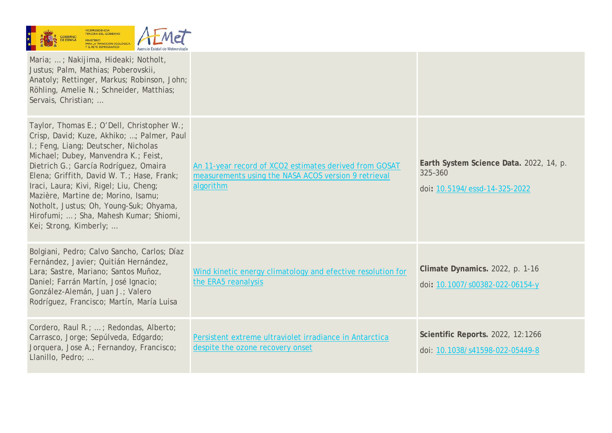| $\star$ | <b>SOBIERNO</b><br><b>DE ESPANA</b> | <b>VICEPRESIDENCIA</b><br><b>TERCERA DEL GOBIERNO</b><br><b>MINISTERIO</b><br>PARA LA TRANSICIÓN ECOLÓGICA<br>Y EL RETO DEMOGRÁFICO | Agencia Estatal de Meteorología |
|---------|-------------------------------------|-------------------------------------------------------------------------------------------------------------------------------------|---------------------------------|
|---------|-------------------------------------|-------------------------------------------------------------------------------------------------------------------------------------|---------------------------------|

| Maria; ; Nakijima, Hideaki; Notholt,<br>Justus; Palm, Mathias; Poberovskii,<br>Anatoly; Rettinger, Markus; Robinson, John;<br>Röhling, Amelie N.; Schneider, Matthias;<br>Servais, Christian;                                                                                                                                                                                                                                                                   |                                                                                                                             |                                                                                     |
|-----------------------------------------------------------------------------------------------------------------------------------------------------------------------------------------------------------------------------------------------------------------------------------------------------------------------------------------------------------------------------------------------------------------------------------------------------------------|-----------------------------------------------------------------------------------------------------------------------------|-------------------------------------------------------------------------------------|
| Taylor, Thomas E.; O'Dell, Christopher W.;<br>Crisp, David; Kuze, Akhiko; ; Palmer, Paul<br>I.; Feng, Liang; Deutscher, Nicholas<br>Michael; Dubey, Manvendra K.; Feist,<br>Dietrich G.; García Rodríguez, Omaira<br>Elena; Griffith, David W. T.; Hase, Frank;<br>Iraci, Laura; Kivi, Rigel; Liu, Cheng;<br>Mazière, Martine de; Morino, Isamu;<br>Notholt, Justus; Oh, Young-Suk; Ohyama,<br>Hirofumi; ; Sha, Mahesh Kumar; Shiomi,<br>Kei; Strong, Kimberly; | An 11-year record of XCO2 estimates derived from GOSAT<br>measurements using the NASA ACOS version 9 retrieval<br>algorithm | Earth System Science Data. 2022, 14, p.<br>325-360<br>doi: 10.5194/essd-14-325-2022 |
| Bolgiani, Pedro; Calvo Sancho, Carlos; Díaz<br>Fernández, Javier; Quitián Hernández,<br>Lara; Sastre, Mariano; Santos Muñoz,<br>Daniel; Farrán Martín, José Ignacio;<br>González-Alemán, Juan J.; Valero<br>Rodríguez, Francisco; Martín, María Luisa                                                                                                                                                                                                           | Wind kinetic energy climatology and efective resolution for<br>the ERA5 reanalysis                                          | Climate Dynamics. 2022, p. 1-16<br>doi: 10.1007/s00382-022-06154-y                  |
| Cordero, Raul R.; ; Redondas, Alberto;<br>Carrasco, Jorge; Sepúlveda, Edgardo;<br>Jorquera, Jose A.; Fernandoy, Francisco;<br>Llanillo, Pedro;                                                                                                                                                                                                                                                                                                                  | Persistent extreme ultraviolet irradiance in Antarctica<br>despite the ozone recovery onset                                 | Scientific Reports. 2022, 12:1266<br>doi: 10.1038/s41598-022-05449-8                |